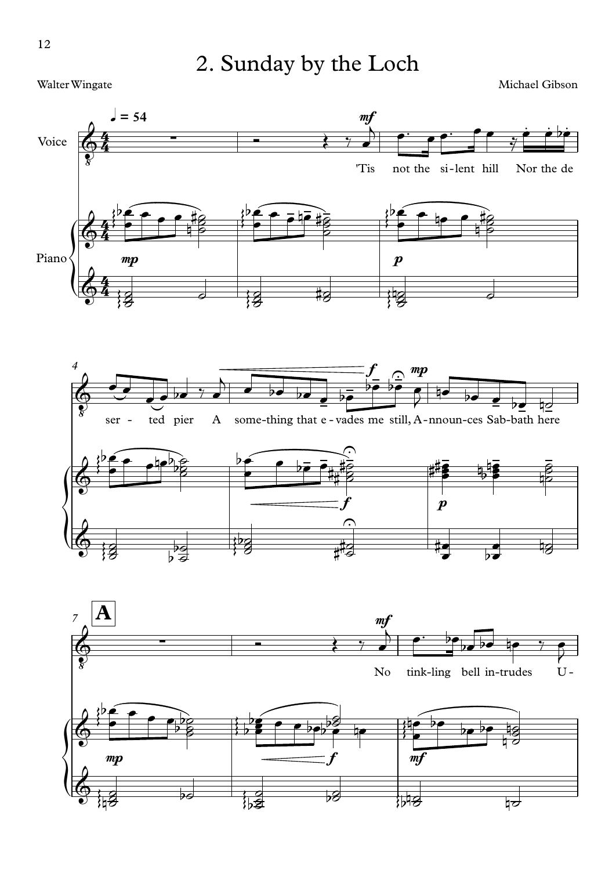2. Sunday by the Loch

Walter Wingate

Michael Gibson





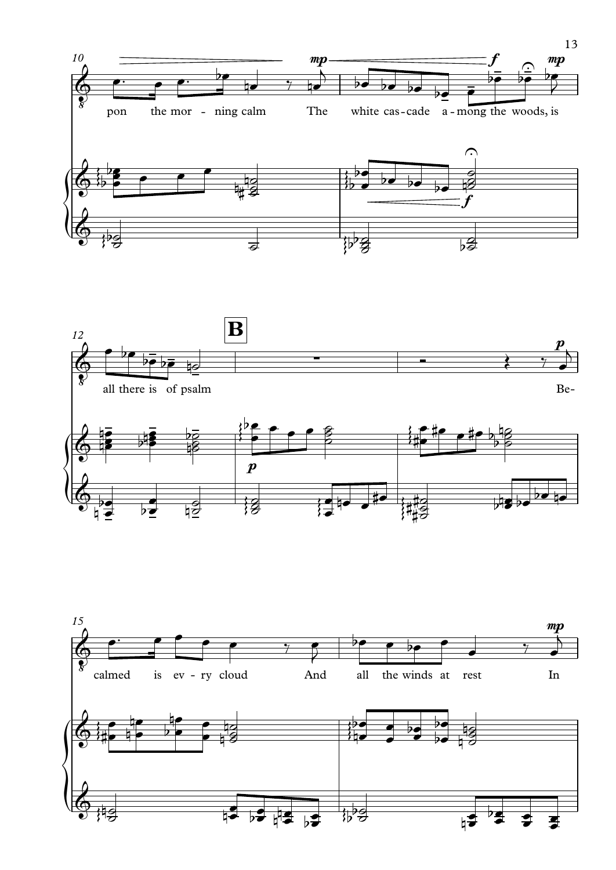